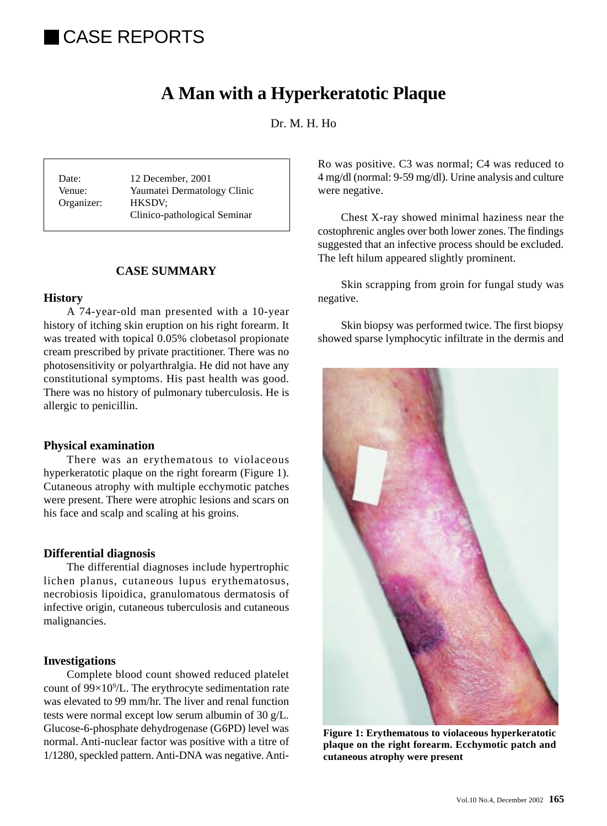# CASE REPORTS

## **A Man with a Hyperkeratotic Plaque**

Dr. M. H. Ho

Date: 12 December, 2001 Venue: Yaumatei Dermatology Clinic Organizer: HKSDV; Clinico-pathological Seminar

#### **CASE SUMMARY**

#### **History**

A 74-year-old man presented with a 10-year history of itching skin eruption on his right forearm. It was treated with topical 0.05% clobetasol propionate cream prescribed by private practitioner. There was no photosensitivity or polyarthralgia. He did not have any constitutional symptoms. His past health was good. There was no history of pulmonary tuberculosis. He is allergic to penicillin.

#### **Physical examination**

There was an erythematous to violaceous hyperkeratotic plaque on the right forearm (Figure 1). Cutaneous atrophy with multiple ecchymotic patches were present. There were atrophic lesions and scars on his face and scalp and scaling at his groins.

#### **Differential diagnosis**

The differential diagnoses include hypertrophic lichen planus, cutaneous lupus erythematosus, necrobiosis lipoidica, granulomatous dermatosis of infective origin, cutaneous tuberculosis and cutaneous malignancies.

#### **Investigations**

Complete blood count showed reduced platelet count of 99×109 /L. The erythrocyte sedimentation rate was elevated to 99 mm/hr. The liver and renal function tests were normal except low serum albumin of 30 g/L. Glucose-6-phosphate dehydrogenase (G6PD) level was normal. Anti-nuclear factor was positive with a titre of 1/1280, speckled pattern. Anti-DNA was negative. AntiRo was positive. C3 was normal; C4 was reduced to 4 mg/dl (normal: 9-59 mg/dl). Urine analysis and culture were negative.

Chest X-ray showed minimal haziness near the costophrenic angles over both lower zones. The findings suggested that an infective process should be excluded. The left hilum appeared slightly prominent.

Skin scrapping from groin for fungal study was negative.

Skin biopsy was performed twice. The first biopsy showed sparse lymphocytic infiltrate in the dermis and



**Figure 1: Erythematous to violaceous hyperkeratotic plaque on the right forearm. Ecchymotic patch and cutaneous atrophy were present**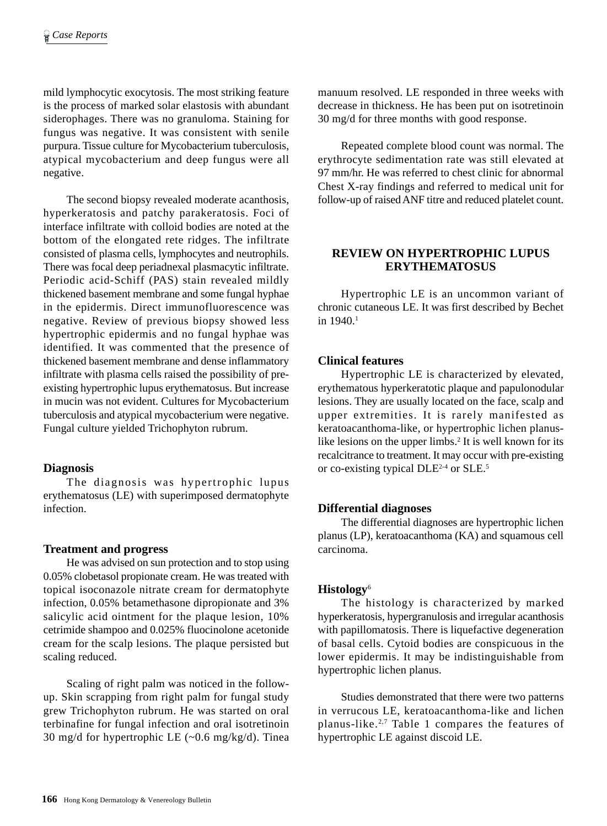mild lymphocytic exocytosis. The most striking feature is the process of marked solar elastosis with abundant siderophages. There was no granuloma. Staining for fungus was negative. It was consistent with senile purpura. Tissue culture for Mycobacterium tuberculosis, atypical mycobacterium and deep fungus were all negative.

The second biopsy revealed moderate acanthosis, hyperkeratosis and patchy parakeratosis. Foci of interface infiltrate with colloid bodies are noted at the bottom of the elongated rete ridges. The infiltrate consisted of plasma cells, lymphocytes and neutrophils. There was focal deep periadnexal plasmacytic infiltrate. Periodic acid-Schiff (PAS) stain revealed mildly thickened basement membrane and some fungal hyphae in the epidermis. Direct immunofluorescence was negative. Review of previous biopsy showed less hypertrophic epidermis and no fungal hyphae was identified. It was commented that the presence of thickened basement membrane and dense inflammatory infiltrate with plasma cells raised the possibility of preexisting hypertrophic lupus erythematosus. But increase in mucin was not evident. Cultures for Mycobacterium tuberculosis and atypical mycobacterium were negative. Fungal culture yielded Trichophyton rubrum.

## **Diagnosis**

The diagnosis was hypertrophic lupus erythematosus (LE) with superimposed dermatophyte infection.

## **Treatment and progress**

He was advised on sun protection and to stop using 0.05% clobetasol propionate cream. He was treated with topical isoconazole nitrate cream for dermatophyte infection, 0.05% betamethasone dipropionate and 3% salicylic acid ointment for the plaque lesion, 10% cetrimide shampoo and 0.025% fluocinolone acetonide cream for the scalp lesions. The plaque persisted but scaling reduced.

Scaling of right palm was noticed in the followup. Skin scrapping from right palm for fungal study grew Trichophyton rubrum. He was started on oral terbinafine for fungal infection and oral isotretinoin 30 mg/d for hypertrophic LE  $(-0.6 \text{ mg/kg/d})$ . Tinea manuum resolved. LE responded in three weeks with decrease in thickness. He has been put on isotretinoin 30 mg/d for three months with good response.

Repeated complete blood count was normal. The erythrocyte sedimentation rate was still elevated at 97 mm/hr. He was referred to chest clinic for abnormal Chest X-ray findings and referred to medical unit for follow-up of raised ANF titre and reduced platelet count.

## **REVIEW ON HYPERTROPHIC LUPUS ERYTHEMATOSUS**

Hypertrophic LE is an uncommon variant of chronic cutaneous LE. It was first described by Bechet in  $1940<sup>1</sup>$ 

## **Clinical features**

Hypertrophic LE is characterized by elevated, erythematous hyperkeratotic plaque and papulonodular lesions. They are usually located on the face, scalp and upper extremities. It is rarely manifested as keratoacanthoma-like, or hypertrophic lichen planuslike lesions on the upper limbs.<sup>2</sup> It is well known for its recalcitrance to treatment. It may occur with pre-existing or co-existing typical  $DLE^{2-4}$  or  $SLE^{5}$ .

## **Differential diagnoses**

The differential diagnoses are hypertrophic lichen planus (LP), keratoacanthoma (KA) and squamous cell carcinoma.

## **Histology**<sup>6</sup>

The histology is characterized by marked hyperkeratosis, hypergranulosis and irregular acanthosis with papillomatosis. There is liquefactive degeneration of basal cells. Cytoid bodies are conspicuous in the lower epidermis. It may be indistinguishable from hypertrophic lichen planus.

Studies demonstrated that there were two patterns in verrucous LE, keratoacanthoma-like and lichen planus-like.2,7 Table 1 compares the features of hypertrophic LE against discoid LE.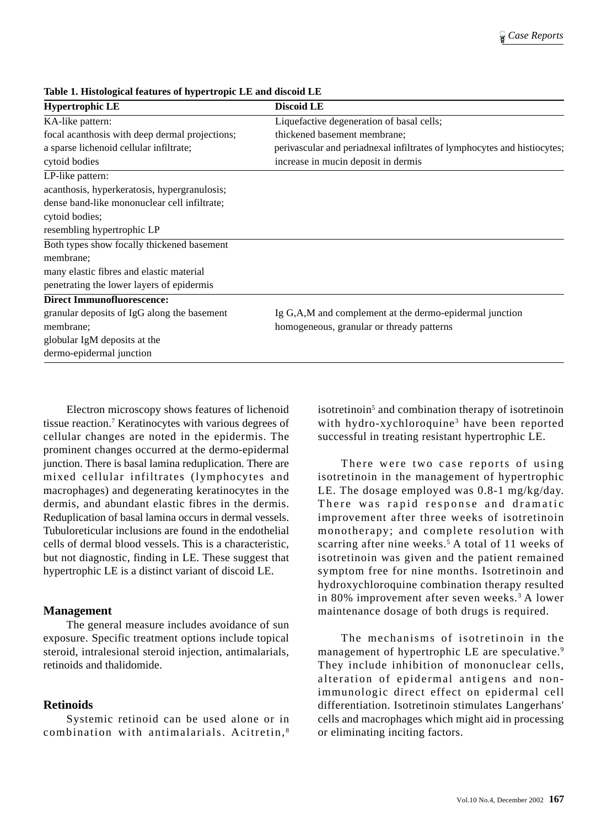| <b>Hypertrophic LE</b>                         | Discoid LE                                                               |
|------------------------------------------------|--------------------------------------------------------------------------|
| KA-like pattern:                               | Liquefactive degeneration of basal cells;                                |
| focal acanthosis with deep dermal projections; | thickened basement membrane;                                             |
| a sparse lichenoid cellular infiltrate;        | perivascular and periadnexal infiltrates of lymphocytes and histiocytes; |
| cytoid bodies                                  | increase in mucin deposit in dermis                                      |
| LP-like pattern:                               |                                                                          |
| acanthosis, hyperkeratosis, hypergranulosis;   |                                                                          |
| dense band-like mononuclear cell infiltrate;   |                                                                          |
| cytoid bodies;                                 |                                                                          |
| resembling hypertrophic LP                     |                                                                          |
| Both types show focally thickened basement     |                                                                          |
| membrane;                                      |                                                                          |
| many elastic fibres and elastic material       |                                                                          |
| penetrating the lower layers of epidermis      |                                                                          |
| <b>Direct Immunofluorescence:</b>              |                                                                          |
| granular deposits of IgG along the basement    | Ig G,A,M and complement at the dermo-epidermal junction                  |
| membrane;                                      | homogeneous, granular or thready patterns                                |
| globular IgM deposits at the                   |                                                                          |
| dermo-epidermal junction                       |                                                                          |

**Table 1. Histological features of hypertropic LE and discoid LE**

Electron microscopy shows features of lichenoid tissue reaction.7 Keratinocytes with various degrees of cellular changes are noted in the epidermis. The prominent changes occurred at the dermo-epidermal junction. There is basal lamina reduplication. There are mixed cellular infiltrates (lymphocytes and macrophages) and degenerating keratinocytes in the dermis, and abundant elastic fibres in the dermis. Reduplication of basal lamina occurs in dermal vessels. Tubuloreticular inclusions are found in the endothelial cells of dermal blood vessels. This is a characteristic, but not diagnostic, finding in LE. These suggest that hypertrophic LE is a distinct variant of discoid LE.

#### **Management**

The general measure includes avoidance of sun exposure. Specific treatment options include topical steroid, intralesional steroid injection, antimalarials, retinoids and thalidomide.

#### **Retinoids**

Systemic retinoid can be used alone or in combination with antimalarials. Acitretin,<sup>8</sup>

isotretinoin<sup>5</sup> and combination therapy of isotretinoin with hydro-xychloroquine<sup>3</sup> have been reported successful in treating resistant hypertrophic LE.

There were two case reports of using isotretinoin in the management of hypertrophic LE. The dosage employed was 0.8-1 mg/kg/day. There was rapid response and dramatic improvement after three weeks of isotretinoin monotherapy; and complete resolution with scarring after nine weeks.<sup>5</sup> A total of 11 weeks of isotretinoin was given and the patient remained symptom free for nine months. Isotretinoin and hydroxychloroquine combination therapy resulted in 80% improvement after seven weeks.3 A lower maintenance dosage of both drugs is required.

The mechanisms of isotretinoin in the management of hypertrophic LE are speculative.9 They include inhibition of mononuclear cells, alteration of epidermal antigens and nonimmunologic direct effect on epidermal cell differentiation. Isotretinoin stimulates Langerhans' cells and macrophages which might aid in processing or eliminating inciting factors.